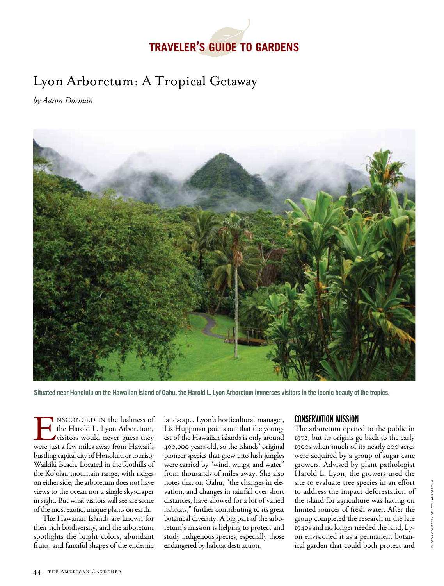# **traveler's Guide TO GARDENS**

## Lyon Arboretum: A Tropical Getaway

*by Aaron Dorman*



**Situated near Honolulu on the Hawaiian island of Oahu, the Harold L. Lyon Arboretum immerses visitors in the iconic beauty of the tropics.**

**ENSCONCED IN the lushness of** the Harold L. Lyon Arboretum, visitors would never guess they were just a few miles away from Hawaii's the Harold L. Lyon Arboretum, visitors would never guess they bustling capital city of Honolulu or touristy Waikiki Beach. Located in the foothills of the Ko'olau mountain range, with ridges on either side, the arboretum does not have views to the ocean nor a single skyscraper in sight. But what visitors will see are some of the most exotic, unique plants on earth.

The Hawaiian Islands are known for their rich biodiversity, and the arboretum spotlights the bright colors, abundant fruits, and fanciful shapes of the endemic

landscape. Lyon's horticultural manager, Liz Huppman points out that the youngest of the Hawaiian islands is only around 400,000 years old, so the islands' original pioneer species that grew into lush jungles were carried by "wind, wings, and water" from thousands of miles away. She also notes that on Oahu, "the changes in elevation, and changes in rainfall over short distances, have allowed for a lot of varied habitats," further contributing to its great botanical diversity. A big part of the arboretum's mission is helping to protect and study indigenous species, especially those endangered by habitat destruction.

## Conservation Mission

The arboretum opened to the public in 1972, but its origins go back to the early 1900s when much of its nearly 200 acres were acquired by a group of sugar cane growers. Advised by plant pathologist Harold L. Lyon, the growers used the site to evaluate tree species in an effort to address the impact deforestation of the island for agriculture was having on limited sources of fresh water. After the group completed the research in the late 1940s and no longer needed the land, Lyon envisioned it as a permanent botanical garden that could both protect and